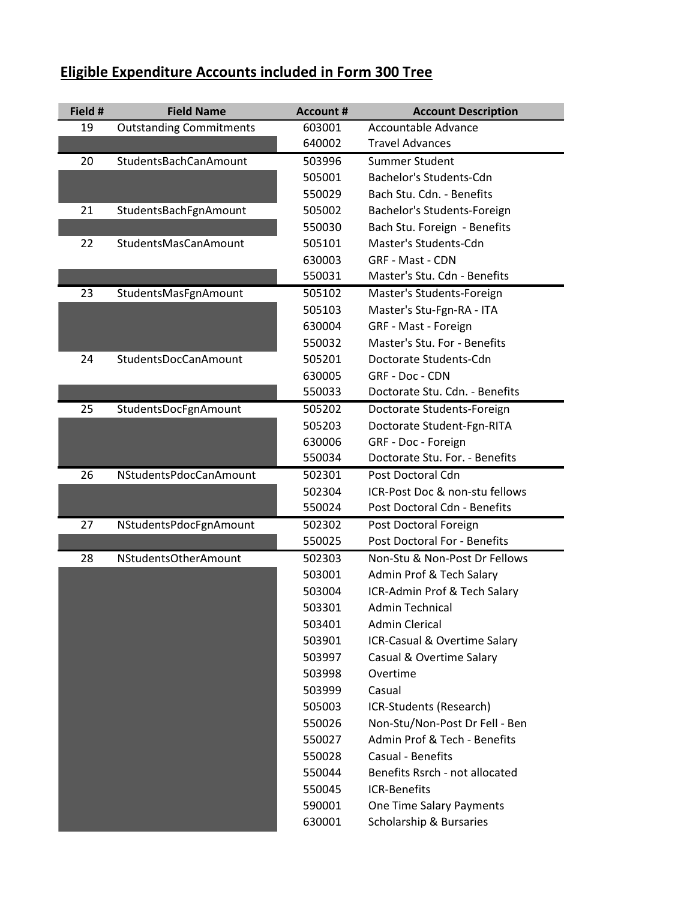## **Eligible Expenditure Accounts included in Form 300 Tree**

| Field # | <b>Field Name</b>              | <b>Account #</b> | <b>Account Description</b>     |
|---------|--------------------------------|------------------|--------------------------------|
| 19      | <b>Outstanding Commitments</b> | 603001           | Accountable Advance            |
|         |                                | 640002           | <b>Travel Advances</b>         |
| 20      | StudentsBachCanAmount          | 503996           | Summer Student                 |
|         |                                | 505001           | <b>Bachelor's Students-Cdn</b> |
|         |                                | 550029           | Bach Stu. Cdn. - Benefits      |
| 21      | StudentsBachFgnAmount          | 505002           | Bachelor's Students-Foreign    |
|         |                                | 550030           | Bach Stu. Foreign - Benefits   |
| 22      | StudentsMasCanAmount           | 505101           | Master's Students-Cdn          |
|         |                                | 630003           | <b>GRF - Mast - CDN</b>        |
|         |                                | 550031           | Master's Stu. Cdn - Benefits   |
| 23      | StudentsMasFgnAmount           | 505102           | Master's Students-Foreign      |
|         |                                | 505103           | Master's Stu-Fgn-RA - ITA      |
|         |                                | 630004           | GRF - Mast - Foreign           |
|         |                                | 550032           | Master's Stu. For - Benefits   |
| 24      | StudentsDocCanAmount           | 505201           | Doctorate Students-Cdn         |
|         |                                | 630005           | GRF - Doc - CDN                |
|         |                                | 550033           | Doctorate Stu. Cdn. - Benefits |
| 25      | StudentsDocFgnAmount           | 505202           | Doctorate Students-Foreign     |
|         |                                | 505203           | Doctorate Student-Fgn-RITA     |
|         |                                | 630006           | GRF - Doc - Foreign            |
|         |                                | 550034           | Doctorate Stu. For. - Benefits |
| 26      | NStudentsPdocCanAmount         | 502301           | Post Doctoral Cdn              |
|         |                                | 502304           | ICR-Post Doc & non-stu fellows |
|         |                                | 550024           | Post Doctoral Cdn - Benefits   |
| 27      | NStudentsPdocFgnAmount         | 502302           | Post Doctoral Foreign          |
|         |                                | 550025           | Post Doctoral For - Benefits   |
| 28      | NStudentsOtherAmount           | 502303           | Non-Stu & Non-Post Dr Fellows  |
|         |                                | 503001           | Admin Prof & Tech Salary       |
|         |                                | 503004           | ICR-Admin Prof & Tech Salary   |
|         |                                | 503301           | Admin Technical                |
|         |                                | 503401           | <b>Admin Clerical</b>          |
|         |                                | 503901           | ICR-Casual & Overtime Salary   |
|         |                                | 503997           | Casual & Overtime Salary       |
|         |                                | 503998           | Overtime                       |
|         |                                | 503999           | Casual                         |
|         |                                | 505003           | ICR-Students (Research)        |
|         |                                | 550026           | Non-Stu/Non-Post Dr Fell - Ben |
|         |                                | 550027           | Admin Prof & Tech - Benefits   |
|         |                                | 550028           | <b>Casual - Benefits</b>       |
|         |                                | 550044           | Benefits Rsrch - not allocated |
|         |                                | 550045           | <b>ICR-Benefits</b>            |
|         |                                | 590001           | One Time Salary Payments       |
|         |                                | 630001           | Scholarship & Bursaries        |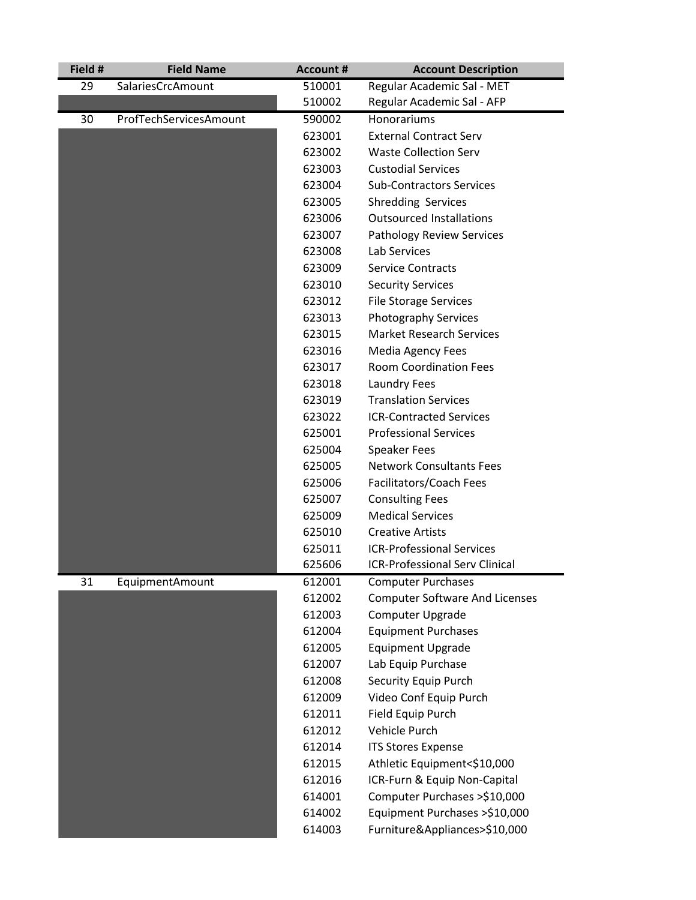| 510001<br>29<br>SalariesCrcAmount<br>Regular Academic Sal - MET<br>510002<br>Regular Academic Sal - AFP<br>ProfTechServicesAmount<br>30<br>590002<br>Honorariums<br><b>External Contract Serv</b><br>623001<br><b>Waste Collection Serv</b><br>623002<br>623003<br><b>Custodial Services</b><br><b>Sub-Contractors Services</b><br>623004<br>623005<br><b>Shredding Services</b><br><b>Outsourced Installations</b><br>623006<br>623007<br>Pathology Review Services<br>Lab Services<br>623008<br><b>Service Contracts</b><br>623009<br>623010<br><b>Security Services</b><br><b>File Storage Services</b><br>623012<br><b>Photography Services</b><br>623013<br><b>Market Research Services</b><br>623015<br>623016<br><b>Media Agency Fees</b><br><b>Room Coordination Fees</b><br>623017<br><b>Laundry Fees</b><br>623018<br><b>Translation Services</b><br>623019<br><b>ICR-Contracted Services</b><br>623022<br><b>Professional Services</b><br>625001<br><b>Speaker Fees</b><br>625004<br><b>Network Consultants Fees</b><br>625005<br>Facilitators/Coach Fees<br>625006<br><b>Consulting Fees</b><br>625007<br><b>Medical Services</b><br>625009<br>625010<br><b>Creative Artists</b><br><b>ICR-Professional Services</b><br>625011<br><b>ICR-Professional Serv Clinical</b><br>625606<br>31<br>EquipmentAmount<br>612001<br><b>Computer Purchases</b><br>612002<br><b>Computer Software And Licenses</b><br>612003<br>Computer Upgrade<br>612004<br><b>Equipment Purchases</b><br><b>Equipment Upgrade</b><br>612005<br>612007<br>Lab Equip Purchase<br><b>Security Equip Purch</b><br>612008<br>Video Conf Equip Purch<br>612009<br>612011<br><b>Field Equip Purch</b><br>Vehicle Purch<br>612012<br>612014<br><b>ITS Stores Expense</b> | Field # | <b>Field Name</b> | <b>Account #</b> | <b>Account Description</b>    |
|---------------------------------------------------------------------------------------------------------------------------------------------------------------------------------------------------------------------------------------------------------------------------------------------------------------------------------------------------------------------------------------------------------------------------------------------------------------------------------------------------------------------------------------------------------------------------------------------------------------------------------------------------------------------------------------------------------------------------------------------------------------------------------------------------------------------------------------------------------------------------------------------------------------------------------------------------------------------------------------------------------------------------------------------------------------------------------------------------------------------------------------------------------------------------------------------------------------------------------------------------------------------------------------------------------------------------------------------------------------------------------------------------------------------------------------------------------------------------------------------------------------------------------------------------------------------------------------------------------------------------------------------------------------------------------------------------------------------------------------------------|---------|-------------------|------------------|-------------------------------|
|                                                                                                                                                                                                                                                                                                                                                                                                                                                                                                                                                                                                                                                                                                                                                                                                                                                                                                                                                                                                                                                                                                                                                                                                                                                                                                                                                                                                                                                                                                                                                                                                                                                                                                                                                   |         |                   |                  |                               |
|                                                                                                                                                                                                                                                                                                                                                                                                                                                                                                                                                                                                                                                                                                                                                                                                                                                                                                                                                                                                                                                                                                                                                                                                                                                                                                                                                                                                                                                                                                                                                                                                                                                                                                                                                   |         |                   |                  |                               |
|                                                                                                                                                                                                                                                                                                                                                                                                                                                                                                                                                                                                                                                                                                                                                                                                                                                                                                                                                                                                                                                                                                                                                                                                                                                                                                                                                                                                                                                                                                                                                                                                                                                                                                                                                   |         |                   |                  |                               |
|                                                                                                                                                                                                                                                                                                                                                                                                                                                                                                                                                                                                                                                                                                                                                                                                                                                                                                                                                                                                                                                                                                                                                                                                                                                                                                                                                                                                                                                                                                                                                                                                                                                                                                                                                   |         |                   |                  |                               |
|                                                                                                                                                                                                                                                                                                                                                                                                                                                                                                                                                                                                                                                                                                                                                                                                                                                                                                                                                                                                                                                                                                                                                                                                                                                                                                                                                                                                                                                                                                                                                                                                                                                                                                                                                   |         |                   |                  |                               |
|                                                                                                                                                                                                                                                                                                                                                                                                                                                                                                                                                                                                                                                                                                                                                                                                                                                                                                                                                                                                                                                                                                                                                                                                                                                                                                                                                                                                                                                                                                                                                                                                                                                                                                                                                   |         |                   |                  |                               |
|                                                                                                                                                                                                                                                                                                                                                                                                                                                                                                                                                                                                                                                                                                                                                                                                                                                                                                                                                                                                                                                                                                                                                                                                                                                                                                                                                                                                                                                                                                                                                                                                                                                                                                                                                   |         |                   |                  |                               |
|                                                                                                                                                                                                                                                                                                                                                                                                                                                                                                                                                                                                                                                                                                                                                                                                                                                                                                                                                                                                                                                                                                                                                                                                                                                                                                                                                                                                                                                                                                                                                                                                                                                                                                                                                   |         |                   |                  |                               |
|                                                                                                                                                                                                                                                                                                                                                                                                                                                                                                                                                                                                                                                                                                                                                                                                                                                                                                                                                                                                                                                                                                                                                                                                                                                                                                                                                                                                                                                                                                                                                                                                                                                                                                                                                   |         |                   |                  |                               |
|                                                                                                                                                                                                                                                                                                                                                                                                                                                                                                                                                                                                                                                                                                                                                                                                                                                                                                                                                                                                                                                                                                                                                                                                                                                                                                                                                                                                                                                                                                                                                                                                                                                                                                                                                   |         |                   |                  |                               |
|                                                                                                                                                                                                                                                                                                                                                                                                                                                                                                                                                                                                                                                                                                                                                                                                                                                                                                                                                                                                                                                                                                                                                                                                                                                                                                                                                                                                                                                                                                                                                                                                                                                                                                                                                   |         |                   |                  |                               |
|                                                                                                                                                                                                                                                                                                                                                                                                                                                                                                                                                                                                                                                                                                                                                                                                                                                                                                                                                                                                                                                                                                                                                                                                                                                                                                                                                                                                                                                                                                                                                                                                                                                                                                                                                   |         |                   |                  |                               |
|                                                                                                                                                                                                                                                                                                                                                                                                                                                                                                                                                                                                                                                                                                                                                                                                                                                                                                                                                                                                                                                                                                                                                                                                                                                                                                                                                                                                                                                                                                                                                                                                                                                                                                                                                   |         |                   |                  |                               |
|                                                                                                                                                                                                                                                                                                                                                                                                                                                                                                                                                                                                                                                                                                                                                                                                                                                                                                                                                                                                                                                                                                                                                                                                                                                                                                                                                                                                                                                                                                                                                                                                                                                                                                                                                   |         |                   |                  |                               |
|                                                                                                                                                                                                                                                                                                                                                                                                                                                                                                                                                                                                                                                                                                                                                                                                                                                                                                                                                                                                                                                                                                                                                                                                                                                                                                                                                                                                                                                                                                                                                                                                                                                                                                                                                   |         |                   |                  |                               |
|                                                                                                                                                                                                                                                                                                                                                                                                                                                                                                                                                                                                                                                                                                                                                                                                                                                                                                                                                                                                                                                                                                                                                                                                                                                                                                                                                                                                                                                                                                                                                                                                                                                                                                                                                   |         |                   |                  |                               |
|                                                                                                                                                                                                                                                                                                                                                                                                                                                                                                                                                                                                                                                                                                                                                                                                                                                                                                                                                                                                                                                                                                                                                                                                                                                                                                                                                                                                                                                                                                                                                                                                                                                                                                                                                   |         |                   |                  |                               |
|                                                                                                                                                                                                                                                                                                                                                                                                                                                                                                                                                                                                                                                                                                                                                                                                                                                                                                                                                                                                                                                                                                                                                                                                                                                                                                                                                                                                                                                                                                                                                                                                                                                                                                                                                   |         |                   |                  |                               |
|                                                                                                                                                                                                                                                                                                                                                                                                                                                                                                                                                                                                                                                                                                                                                                                                                                                                                                                                                                                                                                                                                                                                                                                                                                                                                                                                                                                                                                                                                                                                                                                                                                                                                                                                                   |         |                   |                  |                               |
|                                                                                                                                                                                                                                                                                                                                                                                                                                                                                                                                                                                                                                                                                                                                                                                                                                                                                                                                                                                                                                                                                                                                                                                                                                                                                                                                                                                                                                                                                                                                                                                                                                                                                                                                                   |         |                   |                  |                               |
|                                                                                                                                                                                                                                                                                                                                                                                                                                                                                                                                                                                                                                                                                                                                                                                                                                                                                                                                                                                                                                                                                                                                                                                                                                                                                                                                                                                                                                                                                                                                                                                                                                                                                                                                                   |         |                   |                  |                               |
|                                                                                                                                                                                                                                                                                                                                                                                                                                                                                                                                                                                                                                                                                                                                                                                                                                                                                                                                                                                                                                                                                                                                                                                                                                                                                                                                                                                                                                                                                                                                                                                                                                                                                                                                                   |         |                   |                  |                               |
|                                                                                                                                                                                                                                                                                                                                                                                                                                                                                                                                                                                                                                                                                                                                                                                                                                                                                                                                                                                                                                                                                                                                                                                                                                                                                                                                                                                                                                                                                                                                                                                                                                                                                                                                                   |         |                   |                  |                               |
|                                                                                                                                                                                                                                                                                                                                                                                                                                                                                                                                                                                                                                                                                                                                                                                                                                                                                                                                                                                                                                                                                                                                                                                                                                                                                                                                                                                                                                                                                                                                                                                                                                                                                                                                                   |         |                   |                  |                               |
|                                                                                                                                                                                                                                                                                                                                                                                                                                                                                                                                                                                                                                                                                                                                                                                                                                                                                                                                                                                                                                                                                                                                                                                                                                                                                                                                                                                                                                                                                                                                                                                                                                                                                                                                                   |         |                   |                  |                               |
|                                                                                                                                                                                                                                                                                                                                                                                                                                                                                                                                                                                                                                                                                                                                                                                                                                                                                                                                                                                                                                                                                                                                                                                                                                                                                                                                                                                                                                                                                                                                                                                                                                                                                                                                                   |         |                   |                  |                               |
|                                                                                                                                                                                                                                                                                                                                                                                                                                                                                                                                                                                                                                                                                                                                                                                                                                                                                                                                                                                                                                                                                                                                                                                                                                                                                                                                                                                                                                                                                                                                                                                                                                                                                                                                                   |         |                   |                  |                               |
|                                                                                                                                                                                                                                                                                                                                                                                                                                                                                                                                                                                                                                                                                                                                                                                                                                                                                                                                                                                                                                                                                                                                                                                                                                                                                                                                                                                                                                                                                                                                                                                                                                                                                                                                                   |         |                   |                  |                               |
|                                                                                                                                                                                                                                                                                                                                                                                                                                                                                                                                                                                                                                                                                                                                                                                                                                                                                                                                                                                                                                                                                                                                                                                                                                                                                                                                                                                                                                                                                                                                                                                                                                                                                                                                                   |         |                   |                  |                               |
|                                                                                                                                                                                                                                                                                                                                                                                                                                                                                                                                                                                                                                                                                                                                                                                                                                                                                                                                                                                                                                                                                                                                                                                                                                                                                                                                                                                                                                                                                                                                                                                                                                                                                                                                                   |         |                   |                  |                               |
|                                                                                                                                                                                                                                                                                                                                                                                                                                                                                                                                                                                                                                                                                                                                                                                                                                                                                                                                                                                                                                                                                                                                                                                                                                                                                                                                                                                                                                                                                                                                                                                                                                                                                                                                                   |         |                   |                  |                               |
|                                                                                                                                                                                                                                                                                                                                                                                                                                                                                                                                                                                                                                                                                                                                                                                                                                                                                                                                                                                                                                                                                                                                                                                                                                                                                                                                                                                                                                                                                                                                                                                                                                                                                                                                                   |         |                   |                  |                               |
|                                                                                                                                                                                                                                                                                                                                                                                                                                                                                                                                                                                                                                                                                                                                                                                                                                                                                                                                                                                                                                                                                                                                                                                                                                                                                                                                                                                                                                                                                                                                                                                                                                                                                                                                                   |         |                   |                  |                               |
|                                                                                                                                                                                                                                                                                                                                                                                                                                                                                                                                                                                                                                                                                                                                                                                                                                                                                                                                                                                                                                                                                                                                                                                                                                                                                                                                                                                                                                                                                                                                                                                                                                                                                                                                                   |         |                   |                  |                               |
|                                                                                                                                                                                                                                                                                                                                                                                                                                                                                                                                                                                                                                                                                                                                                                                                                                                                                                                                                                                                                                                                                                                                                                                                                                                                                                                                                                                                                                                                                                                                                                                                                                                                                                                                                   |         |                   |                  |                               |
|                                                                                                                                                                                                                                                                                                                                                                                                                                                                                                                                                                                                                                                                                                                                                                                                                                                                                                                                                                                                                                                                                                                                                                                                                                                                                                                                                                                                                                                                                                                                                                                                                                                                                                                                                   |         |                   |                  |                               |
|                                                                                                                                                                                                                                                                                                                                                                                                                                                                                                                                                                                                                                                                                                                                                                                                                                                                                                                                                                                                                                                                                                                                                                                                                                                                                                                                                                                                                                                                                                                                                                                                                                                                                                                                                   |         |                   |                  |                               |
|                                                                                                                                                                                                                                                                                                                                                                                                                                                                                                                                                                                                                                                                                                                                                                                                                                                                                                                                                                                                                                                                                                                                                                                                                                                                                                                                                                                                                                                                                                                                                                                                                                                                                                                                                   |         |                   |                  |                               |
|                                                                                                                                                                                                                                                                                                                                                                                                                                                                                                                                                                                                                                                                                                                                                                                                                                                                                                                                                                                                                                                                                                                                                                                                                                                                                                                                                                                                                                                                                                                                                                                                                                                                                                                                                   |         |                   |                  |                               |
|                                                                                                                                                                                                                                                                                                                                                                                                                                                                                                                                                                                                                                                                                                                                                                                                                                                                                                                                                                                                                                                                                                                                                                                                                                                                                                                                                                                                                                                                                                                                                                                                                                                                                                                                                   |         |                   |                  |                               |
|                                                                                                                                                                                                                                                                                                                                                                                                                                                                                                                                                                                                                                                                                                                                                                                                                                                                                                                                                                                                                                                                                                                                                                                                                                                                                                                                                                                                                                                                                                                                                                                                                                                                                                                                                   |         |                   |                  |                               |
|                                                                                                                                                                                                                                                                                                                                                                                                                                                                                                                                                                                                                                                                                                                                                                                                                                                                                                                                                                                                                                                                                                                                                                                                                                                                                                                                                                                                                                                                                                                                                                                                                                                                                                                                                   |         |                   | 612015           | Athletic Equipment<\$10,000   |
| 612016<br>ICR-Furn & Equip Non-Capital                                                                                                                                                                                                                                                                                                                                                                                                                                                                                                                                                                                                                                                                                                                                                                                                                                                                                                                                                                                                                                                                                                                                                                                                                                                                                                                                                                                                                                                                                                                                                                                                                                                                                                            |         |                   |                  |                               |
| Computer Purchases >\$10,000<br>614001                                                                                                                                                                                                                                                                                                                                                                                                                                                                                                                                                                                                                                                                                                                                                                                                                                                                                                                                                                                                                                                                                                                                                                                                                                                                                                                                                                                                                                                                                                                                                                                                                                                                                                            |         |                   |                  |                               |
| Equipment Purchases >\$10,000<br>614002                                                                                                                                                                                                                                                                                                                                                                                                                                                                                                                                                                                                                                                                                                                                                                                                                                                                                                                                                                                                                                                                                                                                                                                                                                                                                                                                                                                                                                                                                                                                                                                                                                                                                                           |         |                   |                  |                               |
| 614003                                                                                                                                                                                                                                                                                                                                                                                                                                                                                                                                                                                                                                                                                                                                                                                                                                                                                                                                                                                                                                                                                                                                                                                                                                                                                                                                                                                                                                                                                                                                                                                                                                                                                                                                            |         |                   |                  | Furniture&Appliances>\$10,000 |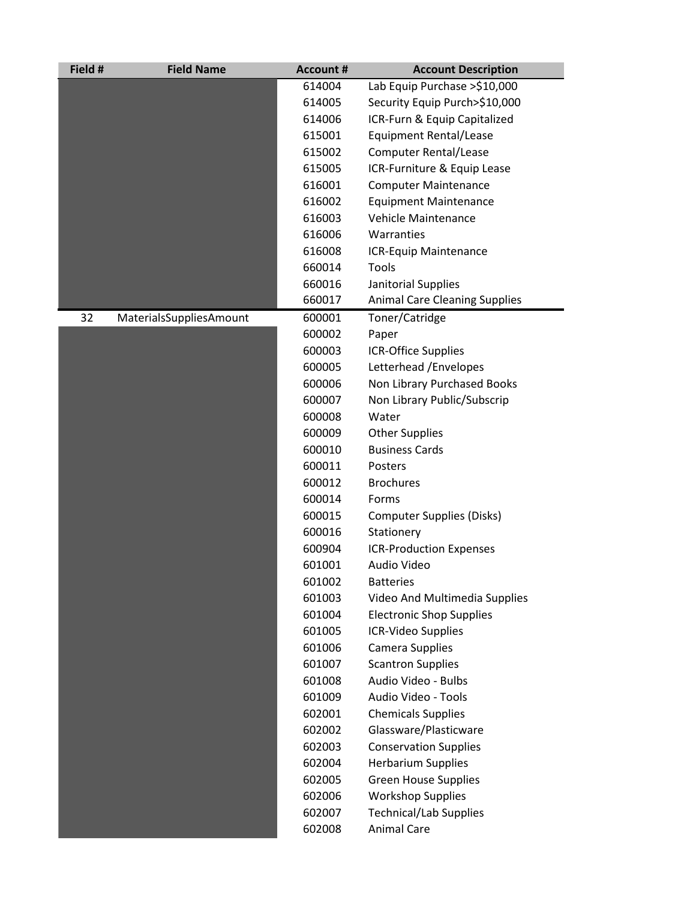| Field # | <b>Field Name</b>       | <b>Account #</b> | <b>Account Description</b>                              |
|---------|-------------------------|------------------|---------------------------------------------------------|
|         |                         | 614004           | Lab Equip Purchase >\$10,000                            |
|         |                         | 614005           | Security Equip Purch>\$10,000                           |
|         |                         | 614006           | ICR-Furn & Equip Capitalized                            |
|         |                         | 615001           | <b>Equipment Rental/Lease</b>                           |
|         |                         | 615002           | <b>Computer Rental/Lease</b>                            |
|         |                         | 615005           | ICR-Furniture & Equip Lease                             |
|         |                         | 616001           | <b>Computer Maintenance</b>                             |
|         |                         | 616002           | <b>Equipment Maintenance</b>                            |
|         |                         | 616003           | <b>Vehicle Maintenance</b>                              |
|         |                         | 616006           | Warranties                                              |
|         |                         | 616008           | ICR-Equip Maintenance                                   |
|         |                         | 660014           | Tools                                                   |
|         |                         | 660016           | Janitorial Supplies                                     |
|         |                         | 660017           | <b>Animal Care Cleaning Supplies</b>                    |
| 32      | MaterialsSuppliesAmount | 600001           | Toner/Catridge                                          |
|         |                         | 600002           | Paper                                                   |
|         |                         | 600003           | <b>ICR-Office Supplies</b>                              |
|         |                         | 600005           | Letterhead / Envelopes                                  |
|         |                         | 600006           | Non Library Purchased Books                             |
|         |                         | 600007           | Non Library Public/Subscrip                             |
|         |                         | 600008           | Water                                                   |
|         |                         | 600009           | <b>Other Supplies</b>                                   |
|         |                         | 600010           | <b>Business Cards</b>                                   |
|         |                         | 600011           | Posters                                                 |
|         |                         | 600012           | <b>Brochures</b>                                        |
|         |                         | 600014           | Forms                                                   |
|         |                         | 600015           | <b>Computer Supplies (Disks)</b>                        |
|         |                         | 600016           | Stationery                                              |
|         |                         | 600904           | <b>ICR-Production Expenses</b>                          |
|         |                         | 601001           | Audio Video                                             |
|         |                         | 601002           | <b>Batteries</b>                                        |
|         |                         | 601003           | Video And Multimedia Supplies                           |
|         |                         | 601004           | <b>Electronic Shop Supplies</b>                         |
|         |                         | 601005           | ICR-Video Supplies                                      |
|         |                         | 601006           | Camera Supplies                                         |
|         |                         | 601007           | <b>Scantron Supplies</b>                                |
|         |                         | 601008           | Audio Video - Bulbs<br>Audio Video - Tools              |
|         |                         | 601009<br>602001 |                                                         |
|         |                         |                  | <b>Chemicals Supplies</b>                               |
|         |                         | 602002<br>602003 | Glassware/Plasticware                                   |
|         |                         |                  | <b>Conservation Supplies</b>                            |
|         |                         | 602004<br>602005 | <b>Herbarium Supplies</b>                               |
|         |                         | 602006           | <b>Green House Supplies</b><br><b>Workshop Supplies</b> |
|         |                         | 602007           | <b>Technical/Lab Supplies</b>                           |
|         |                         | 602008           | <b>Animal Care</b>                                      |
|         |                         |                  |                                                         |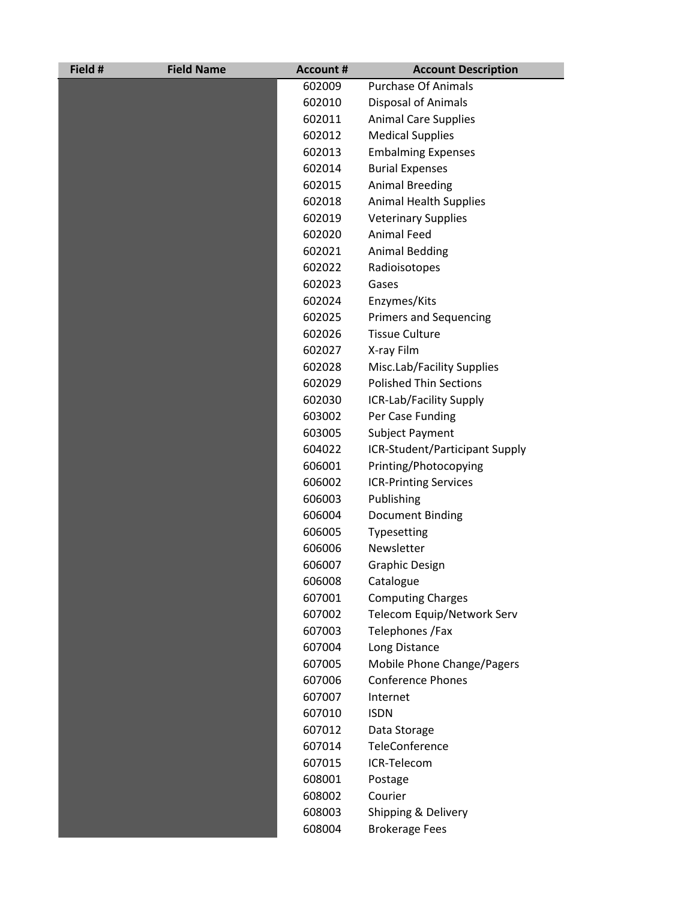| Field # | <b>Field Name</b> | <b>Account #</b> | <b>Account Description</b>     |
|---------|-------------------|------------------|--------------------------------|
|         |                   | 602009           | <b>Purchase Of Animals</b>     |
|         |                   | 602010           | <b>Disposal of Animals</b>     |
|         |                   | 602011           | <b>Animal Care Supplies</b>    |
|         |                   | 602012           | <b>Medical Supplies</b>        |
|         |                   | 602013           | <b>Embalming Expenses</b>      |
|         |                   | 602014           | <b>Burial Expenses</b>         |
|         |                   | 602015           | <b>Animal Breeding</b>         |
|         |                   | 602018           | <b>Animal Health Supplies</b>  |
|         |                   | 602019           | <b>Veterinary Supplies</b>     |
|         |                   | 602020           | <b>Animal Feed</b>             |
|         |                   | 602021           | <b>Animal Bedding</b>          |
|         |                   | 602022           | Radioisotopes                  |
|         |                   | 602023           | Gases                          |
|         |                   | 602024           | Enzymes/Kits                   |
|         |                   | 602025           | <b>Primers and Sequencing</b>  |
|         |                   | 602026           | <b>Tissue Culture</b>          |
|         |                   | 602027           | X-ray Film                     |
|         |                   | 602028           | Misc.Lab/Facility Supplies     |
|         |                   | 602029           | <b>Polished Thin Sections</b>  |
|         |                   | 602030           | ICR-Lab/Facility Supply        |
|         |                   | 603002           | Per Case Funding               |
|         |                   | 603005           | Subject Payment                |
|         |                   | 604022           | ICR-Student/Participant Supply |
|         |                   | 606001           | Printing/Photocopying          |
|         |                   | 606002           | <b>ICR-Printing Services</b>   |
|         |                   | 606003           | Publishing                     |
|         |                   | 606004           | Document Binding               |
|         |                   | 606005           | Typesetting                    |
|         |                   | 606006           | Newsletter                     |
|         |                   | 606007           | <b>Graphic Design</b>          |
|         |                   | 606008           | Catalogue                      |
|         |                   | 607001           | <b>Computing Charges</b>       |
|         |                   | 607002           | Telecom Equip/Network Serv     |
|         |                   | 607003           | Telephones / Fax               |
|         |                   | 607004           | Long Distance                  |
|         |                   | 607005           | Mobile Phone Change/Pagers     |
|         |                   | 607006           | <b>Conference Phones</b>       |
|         |                   | 607007           | Internet                       |
|         |                   | 607010           | <b>ISDN</b>                    |
|         |                   | 607012           | Data Storage                   |
|         |                   | 607014           | TeleConference                 |
|         |                   | 607015           | ICR-Telecom                    |
|         |                   | 608001           | Postage                        |
|         |                   | 608002           | Courier                        |
|         |                   | 608003           | Shipping & Delivery            |
|         |                   | 608004           | <b>Brokerage Fees</b>          |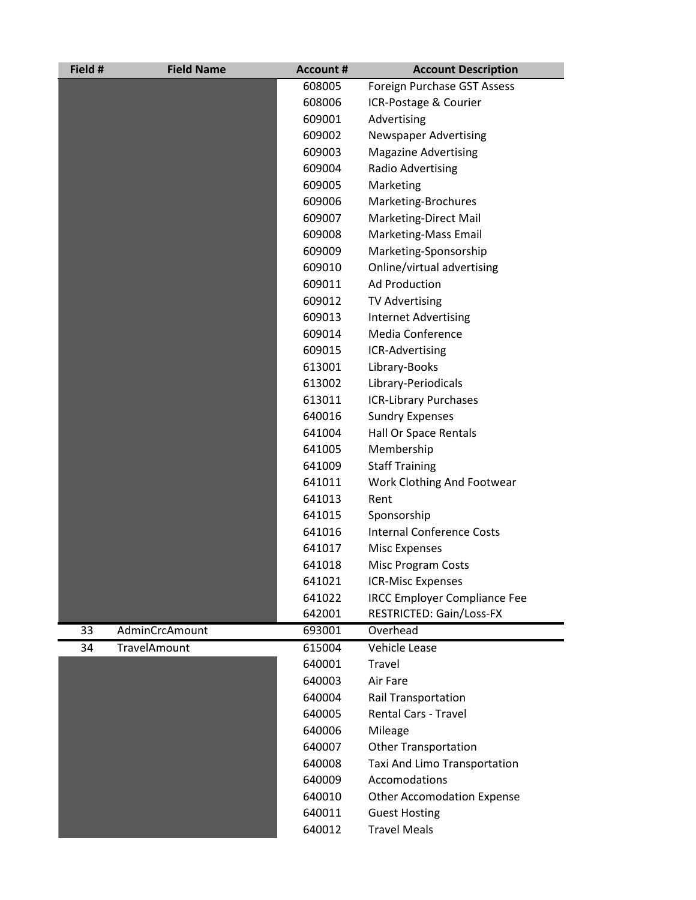| Field # | <b>Field Name</b> | <b>Account #</b> | <b>Account Description</b>          |
|---------|-------------------|------------------|-------------------------------------|
|         |                   | 608005           | Foreign Purchase GST Assess         |
|         |                   | 608006           | ICR-Postage & Courier               |
|         |                   | 609001           | Advertising                         |
|         |                   | 609002           | <b>Newspaper Advertising</b>        |
|         |                   | 609003           | <b>Magazine Advertising</b>         |
|         |                   | 609004           | Radio Advertising                   |
|         |                   | 609005           | Marketing                           |
|         |                   | 609006           | Marketing-Brochures                 |
|         |                   | 609007           | Marketing-Direct Mail               |
|         |                   | 609008           | Marketing-Mass Email                |
|         |                   | 609009           | Marketing-Sponsorship               |
|         |                   | 609010           | Online/virtual advertising          |
|         |                   | 609011           | <b>Ad Production</b>                |
|         |                   | 609012           | <b>TV Advertising</b>               |
|         |                   | 609013           | <b>Internet Advertising</b>         |
|         |                   | 609014           | <b>Media Conference</b>             |
|         |                   | 609015           | ICR-Advertising                     |
|         |                   | 613001           | Library-Books                       |
|         |                   | 613002           | Library-Periodicals                 |
|         |                   | 613011           | <b>ICR-Library Purchases</b>        |
|         |                   | 640016           | <b>Sundry Expenses</b>              |
|         |                   | 641004           | Hall Or Space Rentals               |
|         |                   | 641005           | Membership                          |
|         |                   | 641009           | <b>Staff Training</b>               |
|         |                   | 641011           | Work Clothing And Footwear          |
|         |                   | 641013           | Rent                                |
|         |                   | 641015           | Sponsorship                         |
|         |                   | 641016           | <b>Internal Conference Costs</b>    |
|         |                   | 641017           | <b>Misc Expenses</b>                |
|         |                   | 641018           | Misc Program Costs                  |
|         |                   | 641021           | <b>ICR-Misc Expenses</b>            |
|         |                   | 641022           | <b>IRCC Employer Compliance Fee</b> |
|         |                   | 642001           | RESTRICTED: Gain/Loss-FX            |
| 33      | AdminCrcAmount    | 693001           | Overhead                            |
| 34      | TravelAmount      | 615004           | Vehicle Lease                       |
|         |                   | 640001           | Travel                              |
|         |                   | 640003           | Air Fare                            |
|         |                   | 640004           | <b>Rail Transportation</b>          |
|         |                   | 640005           | <b>Rental Cars - Travel</b>         |
|         |                   | 640006           | Mileage                             |
|         |                   | 640007           | <b>Other Transportation</b>         |
|         |                   | 640008           | Taxi And Limo Transportation        |
|         |                   | 640009           | Accomodations                       |
|         |                   | 640010           | <b>Other Accomodation Expense</b>   |
|         |                   | 640011           | <b>Guest Hosting</b>                |
|         |                   | 640012           | <b>Travel Meals</b>                 |